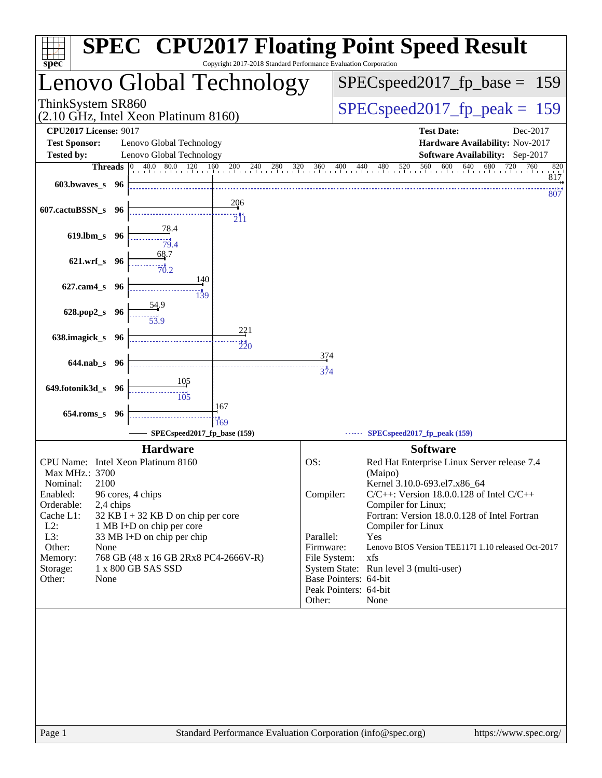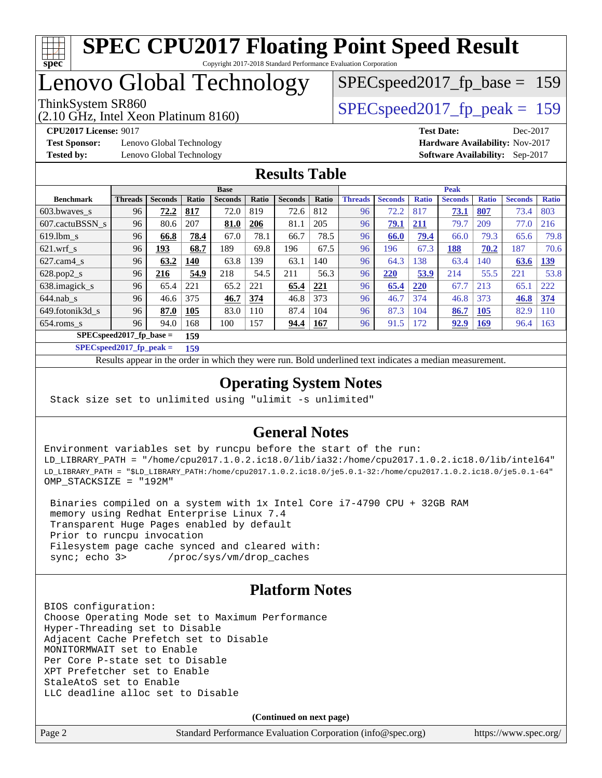

# **[SPEC CPU2017 Floating Point Speed Result](http://www.spec.org/auto/cpu2017/Docs/result-fields.html#SPECCPU2017FloatingPointSpeedResult)**

Copyright 2017-2018 Standard Performance Evaluation Corporation

## Lenovo Global Technology

(2.10 GHz, Intel Xeon Platinum 8160)

ThinkSystem SR860<br>  $SPEC speed2017$  fp\_peak = 159

SPECspeed2017 fp base =  $159$ 

**[Test Sponsor:](http://www.spec.org/auto/cpu2017/Docs/result-fields.html#TestSponsor)** Lenovo Global Technology **[Hardware Availability:](http://www.spec.org/auto/cpu2017/Docs/result-fields.html#HardwareAvailability)** Nov-2017 **[Tested by:](http://www.spec.org/auto/cpu2017/Docs/result-fields.html#Testedby)** Lenovo Global Technology **[Software Availability:](http://www.spec.org/auto/cpu2017/Docs/result-fields.html#SoftwareAvailability)** Sep-2017

**[CPU2017 License:](http://www.spec.org/auto/cpu2017/Docs/result-fields.html#CPU2017License)** 9017 **[Test Date:](http://www.spec.org/auto/cpu2017/Docs/result-fields.html#TestDate)** Dec-2017

#### **[Results Table](http://www.spec.org/auto/cpu2017/Docs/result-fields.html#ResultsTable)**

|                            | <b>Base</b>    |                |       |                |       | <b>Peak</b>    |       |                |                |              |                |              |                |              |
|----------------------------|----------------|----------------|-------|----------------|-------|----------------|-------|----------------|----------------|--------------|----------------|--------------|----------------|--------------|
| <b>Benchmark</b>           | <b>Threads</b> | <b>Seconds</b> | Ratio | <b>Seconds</b> | Ratio | <b>Seconds</b> | Ratio | <b>Threads</b> | <b>Seconds</b> | <b>Ratio</b> | <b>Seconds</b> | <b>Ratio</b> | <b>Seconds</b> | <b>Ratio</b> |
| $603.bwaves$ s             | 96             | 72.2           | 817   | 72.0           | 819   | 72.6           | 812   | 96             | 72.2           | 817          | 73.1           | 807          | 73.4           | 803          |
| 607.cactuBSSN s            | 96             | 80.6           | 207   | 81.0           | 206   | 81.1           | 205   | 96             | 79.1           | 211          | 79.7           | 209          | 77.0           | 216          |
| $619.1$ bm s               | 96             | 66.8           | 78.4  | 67.0           | 78.1  | 66.7           | 78.5  | 96             | 66.0           | 79.4         | 66.0           | 79.3         | 65.6           | 79.8         |
| $621$ .wrf s               | 96             | 193            | 68.7  | 189            | 69.8  | 196            | 67.5  | 96             | 196            | 67.3         | 188            | 70.2         | 187            | 70.6         |
| $627.cam4_s$               | 96             | 63.2           | 140   | 63.8           | 39    | 63.1           | 140   | 96             | 64.3           | 138          | 63.4           | 140          | 63.6           | <u>139</u>   |
| $628.pop2_s$               | 96             | 216            | 54.9  | 218            | 54.5  | 211            | 56.3  | 96             | 220            | 53.9         | 214            | 55.5         | 221            | 53.8         |
| 638.imagick_s              | 96             | 65.4           | 221   | 65.2           | 221   | 65.4           | 221   | 96             | 65.4           | 220          | 67.7           | 213          | 65.1           | 222          |
| $644$ .nab s               | 96             | 46.6           | 375   | 46.7           | 374   | 46.8           | 373   | 96             | 46.7           | 374          | 46.8           | 373          | 46.8           | 374          |
| 649.fotonik3d s            | 96             | 87.0           | 105   | 83.0           | 110   | 87.4           | 104   | 96             | 87.3           | 104          | 86.7           | <b>105</b>   | 82.9           | 110          |
| $654$ .roms s              | 96             | 94.0           | 168   | 100            | 157   | 94.4           | 167   | 96             | 91.5           | 172          | 92.9           | <u>169</u>   | 96.4           | 163          |
| $SPEC speed2017$ fp base = |                |                | 159   |                |       |                |       |                |                |              |                |              |                |              |

**[SPECspeed2017\\_fp\\_peak =](http://www.spec.org/auto/cpu2017/Docs/result-fields.html#SPECspeed2017fppeak) 159**

Results appear in the [order in which they were run.](http://www.spec.org/auto/cpu2017/Docs/result-fields.html#RunOrder) Bold underlined text [indicates a median measurement](http://www.spec.org/auto/cpu2017/Docs/result-fields.html#Median).

#### **[Operating System Notes](http://www.spec.org/auto/cpu2017/Docs/result-fields.html#OperatingSystemNotes)**

Stack size set to unlimited using "ulimit -s unlimited"

#### **[General Notes](http://www.spec.org/auto/cpu2017/Docs/result-fields.html#GeneralNotes)**

Environment variables set by runcpu before the start of the run: LD\_LIBRARY\_PATH = "/home/cpu2017.1.0.2.ic18.0/lib/ia32:/home/cpu2017.1.0.2.ic18.0/lib/intel64" LD\_LIBRARY\_PATH = "\$LD\_LIBRARY\_PATH:/home/cpu2017.1.0.2.ic18.0/je5.0.1-32:/home/cpu2017.1.0.2.ic18.0/je5.0.1-64" OMP\_STACKSIZE = "192M"

 Binaries compiled on a system with 1x Intel Core i7-4790 CPU + 32GB RAM memory using Redhat Enterprise Linux 7.4 Transparent Huge Pages enabled by default Prior to runcpu invocation Filesystem page cache synced and cleared with: sync; echo 3> /proc/sys/vm/drop\_caches

### **[Platform Notes](http://www.spec.org/auto/cpu2017/Docs/result-fields.html#PlatformNotes)**

BIOS configuration: Choose Operating Mode set to Maximum Performance Hyper-Threading set to Disable Adjacent Cache Prefetch set to Disable MONITORMWAIT set to Enable Per Core P-state set to Disable XPT Prefetcher set to Enable StaleAtoS set to Enable LLC deadline alloc set to Disable

**(Continued on next page)**

Page 2 Standard Performance Evaluation Corporation [\(info@spec.org\)](mailto:info@spec.org) <https://www.spec.org/>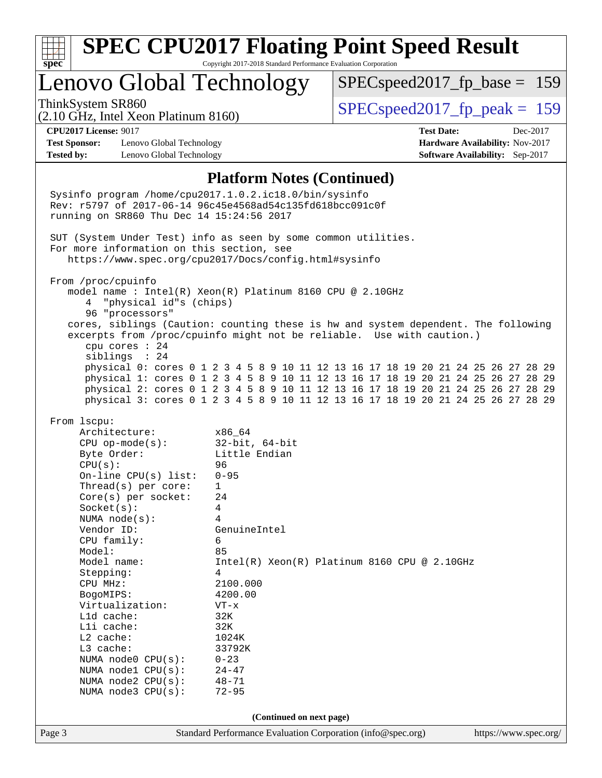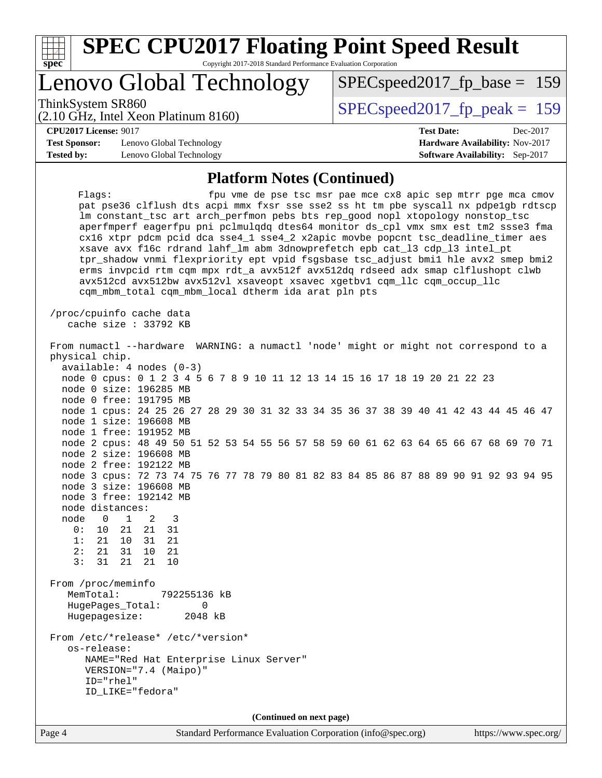| S.<br>Ľ<br>t i |  |  |  |  |  |  |
|----------------|--|--|--|--|--|--|

## Lenovo Global Technology

(2.10 GHz, Intel Xeon Platinum 8160)

ThinkSystem SR860<br>  $SPEC speed2017$  fp\_peak = 159

SPECspeed2017 fp base =  $159$ 

**[CPU2017 License:](http://www.spec.org/auto/cpu2017/Docs/result-fields.html#CPU2017License)** 9017 **[Test Date:](http://www.spec.org/auto/cpu2017/Docs/result-fields.html#TestDate)** Dec-2017

**[Test Sponsor:](http://www.spec.org/auto/cpu2017/Docs/result-fields.html#TestSponsor)** Lenovo Global Technology **[Hardware Availability:](http://www.spec.org/auto/cpu2017/Docs/result-fields.html#HardwareAvailability)** Nov-2017 **[Tested by:](http://www.spec.org/auto/cpu2017/Docs/result-fields.html#Testedby)** Lenovo Global Technology **[Software Availability:](http://www.spec.org/auto/cpu2017/Docs/result-fields.html#SoftwareAvailability)** Sep-2017

#### **[Platform Notes \(Continued\)](http://www.spec.org/auto/cpu2017/Docs/result-fields.html#PlatformNotes)**

Flags: fpu vme de pse tsc msr pae mce cx8 apic sep mtrr pge mca cmov pat pse36 clflush dts acpi mmx fxsr sse sse2 ss ht tm pbe syscall nx pdpe1gb rdtscp lm constant\_tsc art arch\_perfmon pebs bts rep\_good nopl xtopology nonstop\_tsc aperfmperf eagerfpu pni pclmulqdq dtes64 monitor ds\_cpl vmx smx est tm2 ssse3 fma cx16 xtpr pdcm pcid dca sse4\_1 sse4\_2 x2apic movbe popcnt tsc\_deadline\_timer aes xsave avx f16c rdrand lahf\_lm abm 3dnowprefetch epb cat\_l3 cdp\_l3 intel\_pt tpr\_shadow vnmi flexpriority ept vpid fsgsbase tsc\_adjust bmi1 hle avx2 smep bmi2 erms invpcid rtm cqm mpx rdt\_a avx512f avx512dq rdseed adx smap clflushopt clwb avx512cd avx512bw avx512vl xsaveopt xsavec xgetbv1 cqm\_llc cqm\_occup\_llc cqm\_mbm\_total cqm\_mbm\_local dtherm ida arat pln pts /proc/cpuinfo cache data cache size : 33792 KB From numactl --hardware WARNING: a numactl 'node' might or might not correspond to a physical chip. available: 4 nodes (0-3) node 0 cpus: 0 1 2 3 4 5 6 7 8 9 10 11 12 13 14 15 16 17 18 19 20 21 22 23 node 0 size: 196285 MB node 0 free: 191795 MB node 1 cpus: 24 25 26 27 28 29 30 31 32 33 34 35 36 37 38 39 40 41 42 43 44 45 46 47 node 1 size: 196608 MB node 1 free: 191952 MB node 2 cpus: 48 49 50 51 52 53 54 55 56 57 58 59 60 61 62 63 64 65 66 67 68 69 70 71 node 2 size: 196608 MB node 2 free: 192122 MB node 3 cpus: 72 73 74 75 76 77 78 79 80 81 82 83 84 85 86 87 88 89 90 91 92 93 94 95 node 3 size: 196608 MB node 3 free: 192142 MB node distances: node 0 1 2 3 0: 10 21 21 31 1: 21 10 31 21 2: 21 31 10 21 3: 31 21 21 10 From /proc/meminfo MemTotal: 792255136 kB HugePages\_Total: 0 Hugepagesize: 2048 kB From /etc/\*release\* /etc/\*version\* os-release: NAME="Red Hat Enterprise Linux Server" VERSION="7.4 (Maipo)" ID="rhel" ID\_LIKE="fedora" **(Continued on next page)**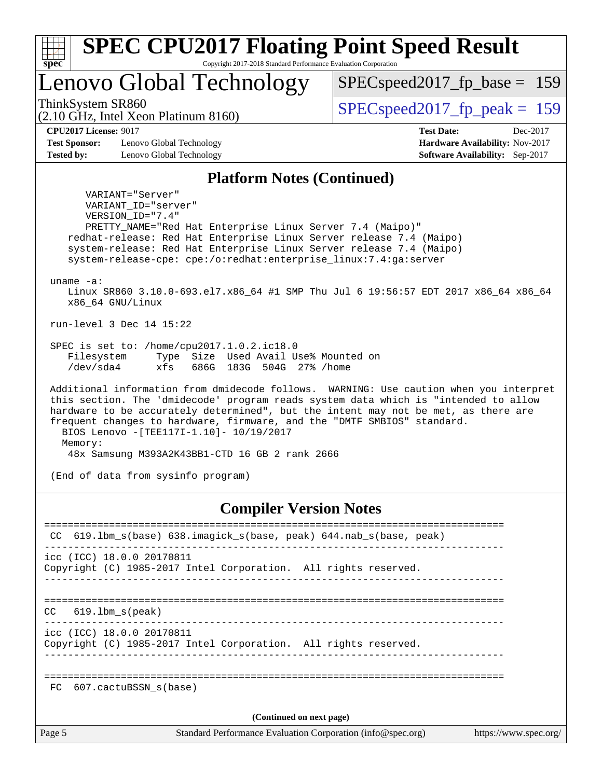| Lenovo Global Technology                                                                                                                                                                                                                                                                                                                                                                              | $SPEC speed2017_fp\_base = 159$<br>$SPEC speed2017_fp\_peak = 159$                                  |  |  |  |  |
|-------------------------------------------------------------------------------------------------------------------------------------------------------------------------------------------------------------------------------------------------------------------------------------------------------------------------------------------------------------------------------------------------------|-----------------------------------------------------------------------------------------------------|--|--|--|--|
| ThinkSystem SR860<br>(2.10 GHz, Intel Xeon Platinum 8160)                                                                                                                                                                                                                                                                                                                                             |                                                                                                     |  |  |  |  |
| <b>CPU2017 License: 9017</b><br><b>Test Sponsor:</b><br>Lenovo Global Technology<br><b>Tested by:</b><br>Lenovo Global Technology                                                                                                                                                                                                                                                                     | <b>Test Date:</b><br>Dec-2017<br>Hardware Availability: Nov-2017<br>Software Availability: Sep-2017 |  |  |  |  |
| <b>Platform Notes (Continued)</b>                                                                                                                                                                                                                                                                                                                                                                     |                                                                                                     |  |  |  |  |
| VERSION ID="7.4"<br>PRETTY_NAME="Red Hat Enterprise Linux Server 7.4 (Maipo)"<br>redhat-release: Red Hat Enterprise Linux Server release 7.4 (Maipo)<br>system-release: Red Hat Enterprise Linux Server release 7.4 (Maipo)<br>system-release-cpe: cpe:/o:redhat:enterprise_linux:7.4:ga:server<br>uname $-a$ :<br>Linux SR860 3.10.0-693.el7.x86_64 #1 SMP Thu Jul 6 19:56:57 EDT 2017 x86_64 x86_64 |                                                                                                     |  |  |  |  |
| x86_64 GNU/Linux<br>run-level 3 Dec 14 15:22                                                                                                                                                                                                                                                                                                                                                          |                                                                                                     |  |  |  |  |
| SPEC is set to: /home/cpu2017.1.0.2.ic18.0<br>Type Size Used Avail Use% Mounted on<br>Filesystem<br>/dev/sda4<br>xfs<br>686G 183G 504G 27% / home                                                                                                                                                                                                                                                     |                                                                                                     |  |  |  |  |
| Additional information from dmidecode follows. WARNING: Use caution when you interpret<br>this section. The 'dmidecode' program reads system data which is "intended to allow<br>hardware to be accurately determined", but the intent may not be met, as there are                                                                                                                                   |                                                                                                     |  |  |  |  |
| frequent changes to hardware, firmware, and the "DMTF SMBIOS" standard.<br>BIOS Lenovo -[TEE117I-1.10]- 10/19/2017<br>Memory:                                                                                                                                                                                                                                                                         |                                                                                                     |  |  |  |  |
| 48x Samsung M393A2K43BB1-CTD 16 GB 2 rank 2666<br>(End of data from sysinfo program)                                                                                                                                                                                                                                                                                                                  |                                                                                                     |  |  |  |  |
| <b>Compiler Version Notes</b>                                                                                                                                                                                                                                                                                                                                                                         |                                                                                                     |  |  |  |  |

==============================================================================

CC 619.lbm\_s(peak) ------------------------------------------------------------------------------

icc (ICC) 18.0.0 20170811 Copyright (C) 1985-2017 Intel Corporation. All rights reserved.

------------------------------------------------------------------------------

==============================================================================

FC 607.cactuBSSN\_s(base)

**(Continued on next page)**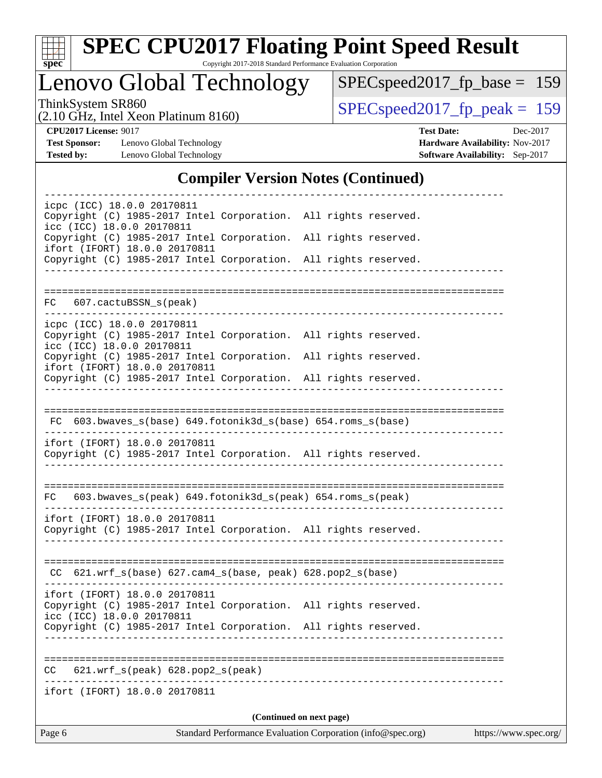

# **[SPEC CPU2017 Floating Point Speed Result](http://www.spec.org/auto/cpu2017/Docs/result-fields.html#SPECCPU2017FloatingPointSpeedResult)**

Copyright 2017-2018 Standard Performance Evaluation Corporation

Lenovo Global Technology

[SPECspeed2017\\_fp\\_base =](http://www.spec.org/auto/cpu2017/Docs/result-fields.html#SPECspeed2017fpbase) 159

(2.10 GHz, Intel Xeon Platinum 8160)

ThinkSystem SR860<br>  $(2.10 \text{ GHz})$  Intel Xeon Platinum 8160) [SPECspeed2017\\_fp\\_peak =](http://www.spec.org/auto/cpu2017/Docs/result-fields.html#SPECspeed2017fppeak) 159

**[Test Sponsor:](http://www.spec.org/auto/cpu2017/Docs/result-fields.html#TestSponsor)** Lenovo Global Technology **[Hardware Availability:](http://www.spec.org/auto/cpu2017/Docs/result-fields.html#HardwareAvailability)** Nov-2017 **[Tested by:](http://www.spec.org/auto/cpu2017/Docs/result-fields.html#Testedby)** Lenovo Global Technology **[Software Availability:](http://www.spec.org/auto/cpu2017/Docs/result-fields.html#SoftwareAvailability)** Sep-2017

**[CPU2017 License:](http://www.spec.org/auto/cpu2017/Docs/result-fields.html#CPU2017License)** 9017 **[Test Date:](http://www.spec.org/auto/cpu2017/Docs/result-fields.html#TestDate)** Dec-2017

#### **[Compiler Version Notes \(Continued\)](http://www.spec.org/auto/cpu2017/Docs/result-fields.html#CompilerVersionNotes)**

| Page 6                                                                                                                                                              | Standard Performance Evaluation Corporation (info@spec.org)  | https://www.spec.org/    |                                       |  |
|---------------------------------------------------------------------------------------------------------------------------------------------------------------------|--------------------------------------------------------------|--------------------------|---------------------------------------|--|
|                                                                                                                                                                     |                                                              | (Continued on next page) |                                       |  |
| ifort (IFORT) 18.0.0 20170811                                                                                                                                       |                                                              |                          | ------------------------------------- |  |
| CC                                                                                                                                                                  | 621.wrf_s(peak) 628.pop2_s(peak)                             |                          |                                       |  |
| Copyright (C) 1985-2017 Intel Corporation. All rights reserved.                                                                                                     |                                                              |                          |                                       |  |
| ifort (IFORT) 18.0.0 20170811<br>Copyright (C) 1985-2017 Intel Corporation. All rights reserved.<br>icc (ICC) 18.0.0 20170811                                       |                                                              |                          |                                       |  |
|                                                                                                                                                                     | $CC$ 621.wrf_s(base) 627.cam4_s(base, peak) 628.pop2_s(base) |                          |                                       |  |
|                                                                                                                                                                     |                                                              |                          |                                       |  |
| ifort (IFORT) 18.0.0 20170811<br>Copyright (C) 1985-2017 Intel Corporation. All rights reserved.                                                                    |                                                              |                          |                                       |  |
| FC 603.bwaves_s(peak) 649.fotonik3d_s(peak) 654.roms_s(peak)                                                                                                        |                                                              |                          |                                       |  |
| ifort (IFORT) 18.0.0 20170811<br>Copyright (C) 1985-2017 Intel Corporation. All rights reserved.                                                                    |                                                              |                          |                                       |  |
|                                                                                                                                                                     | FC 603.bwaves_s(base) 649.fotonik3d_s(base) 654.roms_s(base) |                          |                                       |  |
|                                                                                                                                                                     |                                                              |                          |                                       |  |
| Copyright (C) 1985-2017 Intel Corporation. All rights reserved.<br>ifort (IFORT) 18.0.0 20170811<br>Copyright (C) 1985-2017 Intel Corporation. All rights reserved. |                                                              |                          |                                       |  |
| icpc (ICC) 18.0.0 20170811<br>Copyright (C) 1985-2017 Intel Corporation. All rights reserved.<br>icc (ICC) 18.0.0 20170811                                          |                                                              |                          |                                       |  |
| FC 607.cactuBSSN_s(peak)                                                                                                                                            |                                                              |                          |                                       |  |
|                                                                                                                                                                     |                                                              |                          |                                       |  |
| Copyright (C) 1985-2017 Intel Corporation. All rights reserved.<br>ifort (IFORT) 18.0.0 20170811<br>Copyright (C) 1985-2017 Intel Corporation. All rights reserved. |                                                              |                          |                                       |  |
| Copyright (C) 1985-2017 Intel Corporation. All rights reserved.<br>icc (ICC) 18.0.0 20170811                                                                        |                                                              |                          |                                       |  |
|                                                                                                                                                                     |                                                              |                          |                                       |  |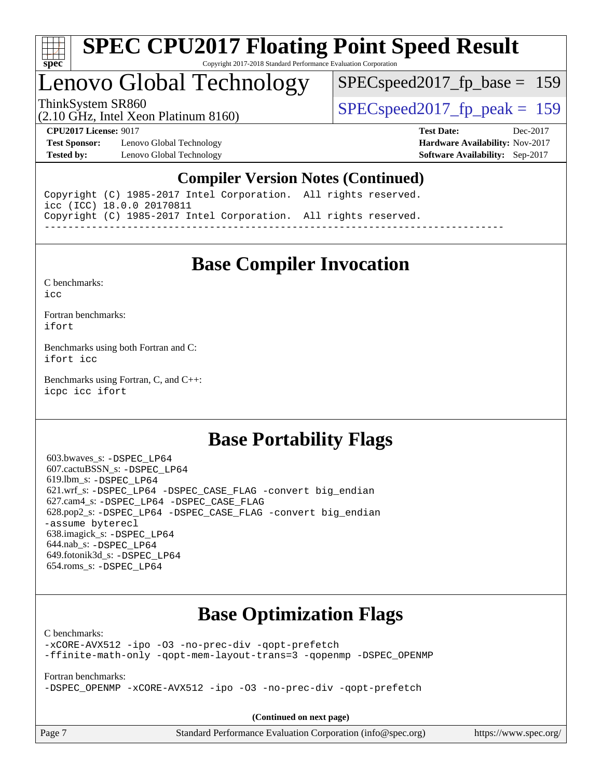

## Lenovo Global Technology

SPECspeed2017 fp base =  $159$ 

(2.10 GHz, Intel Xeon Platinum 8160)

ThinkSystem SR860<br>  $SPEC speed2017$  fp\_peak = 159

**[Test Sponsor:](http://www.spec.org/auto/cpu2017/Docs/result-fields.html#TestSponsor)** Lenovo Global Technology **[Hardware Availability:](http://www.spec.org/auto/cpu2017/Docs/result-fields.html#HardwareAvailability)** Nov-2017 **[Tested by:](http://www.spec.org/auto/cpu2017/Docs/result-fields.html#Testedby)** Lenovo Global Technology **[Software Availability:](http://www.spec.org/auto/cpu2017/Docs/result-fields.html#SoftwareAvailability)** Sep-2017

**[CPU2017 License:](http://www.spec.org/auto/cpu2017/Docs/result-fields.html#CPU2017License)** 9017 **[Test Date:](http://www.spec.org/auto/cpu2017/Docs/result-fields.html#TestDate)** Dec-2017

#### **[Compiler Version Notes \(Continued\)](http://www.spec.org/auto/cpu2017/Docs/result-fields.html#CompilerVersionNotes)**

Copyright (C) 1985-2017 Intel Corporation. All rights reserved. icc (ICC) 18.0.0 20170811 Copyright (C) 1985-2017 Intel Corporation. All rights reserved. ------------------------------------------------------------------------------

## **[Base Compiler Invocation](http://www.spec.org/auto/cpu2017/Docs/result-fields.html#BaseCompilerInvocation)**

[C benchmarks](http://www.spec.org/auto/cpu2017/Docs/result-fields.html#Cbenchmarks):

[icc](http://www.spec.org/cpu2017/results/res2018q1/cpu2017-20171225-02188.flags.html#user_CCbase_intel_icc_18.0_66fc1ee009f7361af1fbd72ca7dcefbb700085f36577c54f309893dd4ec40d12360134090235512931783d35fd58c0460139e722d5067c5574d8eaf2b3e37e92)

[Fortran benchmarks](http://www.spec.org/auto/cpu2017/Docs/result-fields.html#Fortranbenchmarks): [ifort](http://www.spec.org/cpu2017/results/res2018q1/cpu2017-20171225-02188.flags.html#user_FCbase_intel_ifort_18.0_8111460550e3ca792625aed983ce982f94888b8b503583aa7ba2b8303487b4d8a21a13e7191a45c5fd58ff318f48f9492884d4413fa793fd88dd292cad7027ca)

[Benchmarks using both Fortran and C](http://www.spec.org/auto/cpu2017/Docs/result-fields.html#BenchmarksusingbothFortranandC): [ifort](http://www.spec.org/cpu2017/results/res2018q1/cpu2017-20171225-02188.flags.html#user_CC_FCbase_intel_ifort_18.0_8111460550e3ca792625aed983ce982f94888b8b503583aa7ba2b8303487b4d8a21a13e7191a45c5fd58ff318f48f9492884d4413fa793fd88dd292cad7027ca) [icc](http://www.spec.org/cpu2017/results/res2018q1/cpu2017-20171225-02188.flags.html#user_CC_FCbase_intel_icc_18.0_66fc1ee009f7361af1fbd72ca7dcefbb700085f36577c54f309893dd4ec40d12360134090235512931783d35fd58c0460139e722d5067c5574d8eaf2b3e37e92)

[Benchmarks using Fortran, C, and C++:](http://www.spec.org/auto/cpu2017/Docs/result-fields.html#BenchmarksusingFortranCandCXX) [icpc](http://www.spec.org/cpu2017/results/res2018q1/cpu2017-20171225-02188.flags.html#user_CC_CXX_FCbase_intel_icpc_18.0_c510b6838c7f56d33e37e94d029a35b4a7bccf4766a728ee175e80a419847e808290a9b78be685c44ab727ea267ec2f070ec5dc83b407c0218cded6866a35d07) [icc](http://www.spec.org/cpu2017/results/res2018q1/cpu2017-20171225-02188.flags.html#user_CC_CXX_FCbase_intel_icc_18.0_66fc1ee009f7361af1fbd72ca7dcefbb700085f36577c54f309893dd4ec40d12360134090235512931783d35fd58c0460139e722d5067c5574d8eaf2b3e37e92) [ifort](http://www.spec.org/cpu2017/results/res2018q1/cpu2017-20171225-02188.flags.html#user_CC_CXX_FCbase_intel_ifort_18.0_8111460550e3ca792625aed983ce982f94888b8b503583aa7ba2b8303487b4d8a21a13e7191a45c5fd58ff318f48f9492884d4413fa793fd88dd292cad7027ca)

## **[Base Portability Flags](http://www.spec.org/auto/cpu2017/Docs/result-fields.html#BasePortabilityFlags)**

 603.bwaves\_s: [-DSPEC\\_LP64](http://www.spec.org/cpu2017/results/res2018q1/cpu2017-20171225-02188.flags.html#suite_basePORTABILITY603_bwaves_s_DSPEC_LP64) 607.cactuBSSN\_s: [-DSPEC\\_LP64](http://www.spec.org/cpu2017/results/res2018q1/cpu2017-20171225-02188.flags.html#suite_basePORTABILITY607_cactuBSSN_s_DSPEC_LP64) 619.lbm\_s: [-DSPEC\\_LP64](http://www.spec.org/cpu2017/results/res2018q1/cpu2017-20171225-02188.flags.html#suite_basePORTABILITY619_lbm_s_DSPEC_LP64) 621.wrf\_s: [-DSPEC\\_LP64](http://www.spec.org/cpu2017/results/res2018q1/cpu2017-20171225-02188.flags.html#suite_basePORTABILITY621_wrf_s_DSPEC_LP64) [-DSPEC\\_CASE\\_FLAG](http://www.spec.org/cpu2017/results/res2018q1/cpu2017-20171225-02188.flags.html#b621.wrf_s_baseCPORTABILITY_DSPEC_CASE_FLAG) [-convert big\\_endian](http://www.spec.org/cpu2017/results/res2018q1/cpu2017-20171225-02188.flags.html#user_baseFPORTABILITY621_wrf_s_convert_big_endian_c3194028bc08c63ac5d04de18c48ce6d347e4e562e8892b8bdbdc0214820426deb8554edfa529a3fb25a586e65a3d812c835984020483e7e73212c4d31a38223) 627.cam4\_s: [-DSPEC\\_LP64](http://www.spec.org/cpu2017/results/res2018q1/cpu2017-20171225-02188.flags.html#suite_basePORTABILITY627_cam4_s_DSPEC_LP64) [-DSPEC\\_CASE\\_FLAG](http://www.spec.org/cpu2017/results/res2018q1/cpu2017-20171225-02188.flags.html#b627.cam4_s_baseCPORTABILITY_DSPEC_CASE_FLAG) 628.pop2\_s: [-DSPEC\\_LP64](http://www.spec.org/cpu2017/results/res2018q1/cpu2017-20171225-02188.flags.html#suite_basePORTABILITY628_pop2_s_DSPEC_LP64) [-DSPEC\\_CASE\\_FLAG](http://www.spec.org/cpu2017/results/res2018q1/cpu2017-20171225-02188.flags.html#b628.pop2_s_baseCPORTABILITY_DSPEC_CASE_FLAG) [-convert big\\_endian](http://www.spec.org/cpu2017/results/res2018q1/cpu2017-20171225-02188.flags.html#user_baseFPORTABILITY628_pop2_s_convert_big_endian_c3194028bc08c63ac5d04de18c48ce6d347e4e562e8892b8bdbdc0214820426deb8554edfa529a3fb25a586e65a3d812c835984020483e7e73212c4d31a38223) [-assume byterecl](http://www.spec.org/cpu2017/results/res2018q1/cpu2017-20171225-02188.flags.html#user_baseFPORTABILITY628_pop2_s_assume_byterecl_7e47d18b9513cf18525430bbf0f2177aa9bf368bc7a059c09b2c06a34b53bd3447c950d3f8d6c70e3faf3a05c8557d66a5798b567902e8849adc142926523472) 638.imagick\_s: [-DSPEC\\_LP64](http://www.spec.org/cpu2017/results/res2018q1/cpu2017-20171225-02188.flags.html#suite_basePORTABILITY638_imagick_s_DSPEC_LP64) 644.nab\_s: [-DSPEC\\_LP64](http://www.spec.org/cpu2017/results/res2018q1/cpu2017-20171225-02188.flags.html#suite_basePORTABILITY644_nab_s_DSPEC_LP64) 649.fotonik3d\_s: [-DSPEC\\_LP64](http://www.spec.org/cpu2017/results/res2018q1/cpu2017-20171225-02188.flags.html#suite_basePORTABILITY649_fotonik3d_s_DSPEC_LP64) 654.roms\_s: [-DSPEC\\_LP64](http://www.spec.org/cpu2017/results/res2018q1/cpu2017-20171225-02188.flags.html#suite_basePORTABILITY654_roms_s_DSPEC_LP64)

## **[Base Optimization Flags](http://www.spec.org/auto/cpu2017/Docs/result-fields.html#BaseOptimizationFlags)**

[C benchmarks](http://www.spec.org/auto/cpu2017/Docs/result-fields.html#Cbenchmarks):

[-xCORE-AVX512](http://www.spec.org/cpu2017/results/res2018q1/cpu2017-20171225-02188.flags.html#user_CCbase_f-xCORE-AVX512) [-ipo](http://www.spec.org/cpu2017/results/res2018q1/cpu2017-20171225-02188.flags.html#user_CCbase_f-ipo) [-O3](http://www.spec.org/cpu2017/results/res2018q1/cpu2017-20171225-02188.flags.html#user_CCbase_f-O3) [-no-prec-div](http://www.spec.org/cpu2017/results/res2018q1/cpu2017-20171225-02188.flags.html#user_CCbase_f-no-prec-div) [-qopt-prefetch](http://www.spec.org/cpu2017/results/res2018q1/cpu2017-20171225-02188.flags.html#user_CCbase_f-qopt-prefetch) [-ffinite-math-only](http://www.spec.org/cpu2017/results/res2018q1/cpu2017-20171225-02188.flags.html#user_CCbase_f_finite_math_only_cb91587bd2077682c4b38af759c288ed7c732db004271a9512da14a4f8007909a5f1427ecbf1a0fb78ff2a814402c6114ac565ca162485bbcae155b5e4258871) [-qopt-mem-layout-trans=3](http://www.spec.org/cpu2017/results/res2018q1/cpu2017-20171225-02188.flags.html#user_CCbase_f-qopt-mem-layout-trans_de80db37974c74b1f0e20d883f0b675c88c3b01e9d123adea9b28688d64333345fb62bc4a798493513fdb68f60282f9a726aa07f478b2f7113531aecce732043) [-qopenmp](http://www.spec.org/cpu2017/results/res2018q1/cpu2017-20171225-02188.flags.html#user_CCbase_qopenmp_16be0c44f24f464004c6784a7acb94aca937f053568ce72f94b139a11c7c168634a55f6653758ddd83bcf7b8463e8028bb0b48b77bcddc6b78d5d95bb1df2967) [-DSPEC\\_OPENMP](http://www.spec.org/cpu2017/results/res2018q1/cpu2017-20171225-02188.flags.html#suite_CCbase_DSPEC_OPENMP)

[Fortran benchmarks](http://www.spec.org/auto/cpu2017/Docs/result-fields.html#Fortranbenchmarks):

[-DSPEC\\_OPENMP](http://www.spec.org/cpu2017/results/res2018q1/cpu2017-20171225-02188.flags.html#suite_FCbase_DSPEC_OPENMP) [-xCORE-AVX512](http://www.spec.org/cpu2017/results/res2018q1/cpu2017-20171225-02188.flags.html#user_FCbase_f-xCORE-AVX512) [-ipo](http://www.spec.org/cpu2017/results/res2018q1/cpu2017-20171225-02188.flags.html#user_FCbase_f-ipo) [-O3](http://www.spec.org/cpu2017/results/res2018q1/cpu2017-20171225-02188.flags.html#user_FCbase_f-O3) [-no-prec-div](http://www.spec.org/cpu2017/results/res2018q1/cpu2017-20171225-02188.flags.html#user_FCbase_f-no-prec-div) [-qopt-prefetch](http://www.spec.org/cpu2017/results/res2018q1/cpu2017-20171225-02188.flags.html#user_FCbase_f-qopt-prefetch)

**(Continued on next page)**

| ge |  |  |  |  |  |  |
|----|--|--|--|--|--|--|
|----|--|--|--|--|--|--|

Page 7 Standard Performance Evaluation Corporation [\(info@spec.org\)](mailto:info@spec.org) <https://www.spec.org/>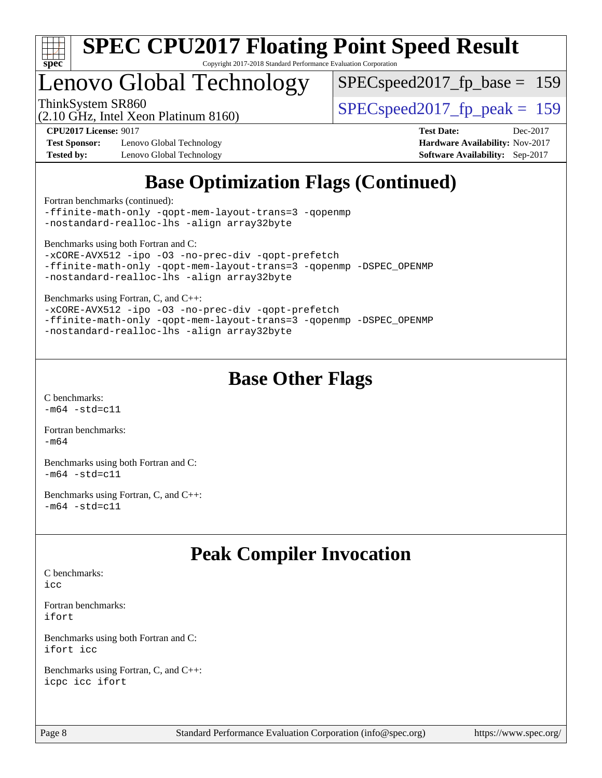

## Lenovo Global Technology

[SPECspeed2017\\_fp\\_base =](http://www.spec.org/auto/cpu2017/Docs/result-fields.html#SPECspeed2017fpbase) 159

(2.10 GHz, Intel Xeon Platinum 8160)

ThinkSystem SR860<br>  $SPEC speed2017$  fp\_peak = 159

**[Test Sponsor:](http://www.spec.org/auto/cpu2017/Docs/result-fields.html#TestSponsor)** Lenovo Global Technology **[Hardware Availability:](http://www.spec.org/auto/cpu2017/Docs/result-fields.html#HardwareAvailability)** Nov-2017 **[Tested by:](http://www.spec.org/auto/cpu2017/Docs/result-fields.html#Testedby)** Lenovo Global Technology **[Software Availability:](http://www.spec.org/auto/cpu2017/Docs/result-fields.html#SoftwareAvailability)** Sep-2017

**[CPU2017 License:](http://www.spec.org/auto/cpu2017/Docs/result-fields.html#CPU2017License)** 9017 **[Test Date:](http://www.spec.org/auto/cpu2017/Docs/result-fields.html#TestDate)** Dec-2017

## **[Base Optimization Flags \(Continued\)](http://www.spec.org/auto/cpu2017/Docs/result-fields.html#BaseOptimizationFlags)**

[Fortran benchmarks](http://www.spec.org/auto/cpu2017/Docs/result-fields.html#Fortranbenchmarks) (continued):

[-ffinite-math-only](http://www.spec.org/cpu2017/results/res2018q1/cpu2017-20171225-02188.flags.html#user_FCbase_f_finite_math_only_cb91587bd2077682c4b38af759c288ed7c732db004271a9512da14a4f8007909a5f1427ecbf1a0fb78ff2a814402c6114ac565ca162485bbcae155b5e4258871) [-qopt-mem-layout-trans=3](http://www.spec.org/cpu2017/results/res2018q1/cpu2017-20171225-02188.flags.html#user_FCbase_f-qopt-mem-layout-trans_de80db37974c74b1f0e20d883f0b675c88c3b01e9d123adea9b28688d64333345fb62bc4a798493513fdb68f60282f9a726aa07f478b2f7113531aecce732043) [-qopenmp](http://www.spec.org/cpu2017/results/res2018q1/cpu2017-20171225-02188.flags.html#user_FCbase_qopenmp_16be0c44f24f464004c6784a7acb94aca937f053568ce72f94b139a11c7c168634a55f6653758ddd83bcf7b8463e8028bb0b48b77bcddc6b78d5d95bb1df2967) [-nostandard-realloc-lhs](http://www.spec.org/cpu2017/results/res2018q1/cpu2017-20171225-02188.flags.html#user_FCbase_f_2003_std_realloc_82b4557e90729c0f113870c07e44d33d6f5a304b4f63d4c15d2d0f1fab99f5daaed73bdb9275d9ae411527f28b936061aa8b9c8f2d63842963b95c9dd6426b8a) [-align array32byte](http://www.spec.org/cpu2017/results/res2018q1/cpu2017-20171225-02188.flags.html#user_FCbase_align_array32byte_b982fe038af199962ba9a80c053b8342c548c85b40b8e86eb3cc33dee0d7986a4af373ac2d51c3f7cf710a18d62fdce2948f201cd044323541f22fc0fffc51b6)

[Benchmarks using both Fortran and C](http://www.spec.org/auto/cpu2017/Docs/result-fields.html#BenchmarksusingbothFortranandC):

```
-xCORE-AVX512 -ipo -O3 -no-prec-div -qopt-prefetch
-ffinite-math-only -qopt-mem-layout-trans=3 -qopenmp -DSPEC_OPENMP
-nostandard-realloc-lhs -align array32byte
```
[Benchmarks using Fortran, C, and C++:](http://www.spec.org/auto/cpu2017/Docs/result-fields.html#BenchmarksusingFortranCandCXX)

```
-xCORE-AVX512 -ipo -O3 -no-prec-div -qopt-prefetch
-ffinite-math-only -qopt-mem-layout-trans=3 -qopenmp -DSPEC_OPENMP
-nostandard-realloc-lhs -align array32byte
```
## **[Base Other Flags](http://www.spec.org/auto/cpu2017/Docs/result-fields.html#BaseOtherFlags)**

[C benchmarks](http://www.spec.org/auto/cpu2017/Docs/result-fields.html#Cbenchmarks):  $-m64$   $-std=cl1$ 

[Fortran benchmarks](http://www.spec.org/auto/cpu2017/Docs/result-fields.html#Fortranbenchmarks):  $-m64$ 

[Benchmarks using both Fortran and C](http://www.spec.org/auto/cpu2017/Docs/result-fields.html#BenchmarksusingbothFortranandC):  $-m64 - std= c11$  $-m64 - std= c11$ 

[Benchmarks using Fortran, C, and C++:](http://www.spec.org/auto/cpu2017/Docs/result-fields.html#BenchmarksusingFortranCandCXX)  $-m64 - std= c11$  $-m64 - std= c11$ 

## **[Peak Compiler Invocation](http://www.spec.org/auto/cpu2017/Docs/result-fields.html#PeakCompilerInvocation)**

[C benchmarks](http://www.spec.org/auto/cpu2017/Docs/result-fields.html#Cbenchmarks):

[icc](http://www.spec.org/cpu2017/results/res2018q1/cpu2017-20171225-02188.flags.html#user_CCpeak_intel_icc_18.0_66fc1ee009f7361af1fbd72ca7dcefbb700085f36577c54f309893dd4ec40d12360134090235512931783d35fd58c0460139e722d5067c5574d8eaf2b3e37e92)

[Fortran benchmarks](http://www.spec.org/auto/cpu2017/Docs/result-fields.html#Fortranbenchmarks): [ifort](http://www.spec.org/cpu2017/results/res2018q1/cpu2017-20171225-02188.flags.html#user_FCpeak_intel_ifort_18.0_8111460550e3ca792625aed983ce982f94888b8b503583aa7ba2b8303487b4d8a21a13e7191a45c5fd58ff318f48f9492884d4413fa793fd88dd292cad7027ca)

[Benchmarks using both Fortran and C](http://www.spec.org/auto/cpu2017/Docs/result-fields.html#BenchmarksusingbothFortranandC): [ifort](http://www.spec.org/cpu2017/results/res2018q1/cpu2017-20171225-02188.flags.html#user_CC_FCpeak_intel_ifort_18.0_8111460550e3ca792625aed983ce982f94888b8b503583aa7ba2b8303487b4d8a21a13e7191a45c5fd58ff318f48f9492884d4413fa793fd88dd292cad7027ca) [icc](http://www.spec.org/cpu2017/results/res2018q1/cpu2017-20171225-02188.flags.html#user_CC_FCpeak_intel_icc_18.0_66fc1ee009f7361af1fbd72ca7dcefbb700085f36577c54f309893dd4ec40d12360134090235512931783d35fd58c0460139e722d5067c5574d8eaf2b3e37e92)

[Benchmarks using Fortran, C, and C++:](http://www.spec.org/auto/cpu2017/Docs/result-fields.html#BenchmarksusingFortranCandCXX) [icpc](http://www.spec.org/cpu2017/results/res2018q1/cpu2017-20171225-02188.flags.html#user_CC_CXX_FCpeak_intel_icpc_18.0_c510b6838c7f56d33e37e94d029a35b4a7bccf4766a728ee175e80a419847e808290a9b78be685c44ab727ea267ec2f070ec5dc83b407c0218cded6866a35d07) [icc](http://www.spec.org/cpu2017/results/res2018q1/cpu2017-20171225-02188.flags.html#user_CC_CXX_FCpeak_intel_icc_18.0_66fc1ee009f7361af1fbd72ca7dcefbb700085f36577c54f309893dd4ec40d12360134090235512931783d35fd58c0460139e722d5067c5574d8eaf2b3e37e92) [ifort](http://www.spec.org/cpu2017/results/res2018q1/cpu2017-20171225-02188.flags.html#user_CC_CXX_FCpeak_intel_ifort_18.0_8111460550e3ca792625aed983ce982f94888b8b503583aa7ba2b8303487b4d8a21a13e7191a45c5fd58ff318f48f9492884d4413fa793fd88dd292cad7027ca)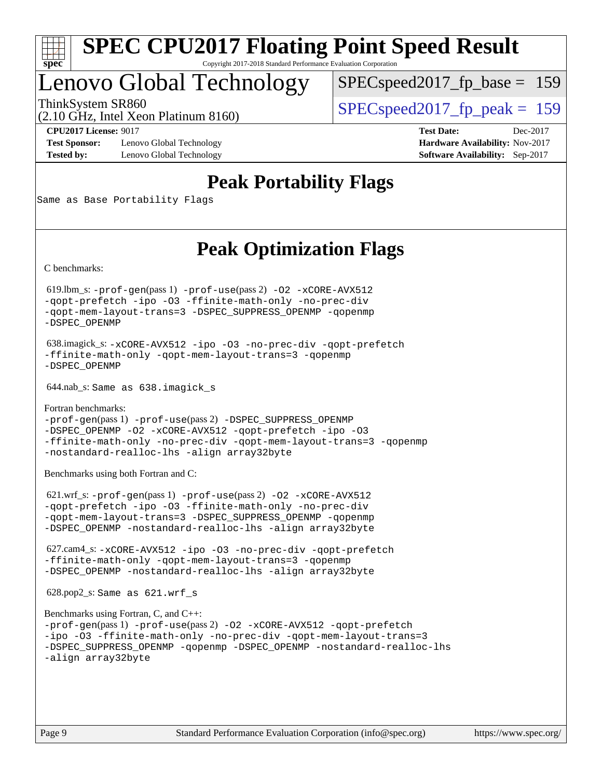

## Lenovo Global Technology

[SPECspeed2017\\_fp\\_base =](http://www.spec.org/auto/cpu2017/Docs/result-fields.html#SPECspeed2017fpbase) 159

(2.10 GHz, Intel Xeon Platinum 8160)

ThinkSystem SR860<br>  $SPEC speed2017$  fp\_peak = 159

**[Test Sponsor:](http://www.spec.org/auto/cpu2017/Docs/result-fields.html#TestSponsor)** Lenovo Global Technology **[Hardware Availability:](http://www.spec.org/auto/cpu2017/Docs/result-fields.html#HardwareAvailability)** Nov-2017 **[Tested by:](http://www.spec.org/auto/cpu2017/Docs/result-fields.html#Testedby)** Lenovo Global Technology **[Software Availability:](http://www.spec.org/auto/cpu2017/Docs/result-fields.html#SoftwareAvailability)** Sep-2017

**[CPU2017 License:](http://www.spec.org/auto/cpu2017/Docs/result-fields.html#CPU2017License)** 9017 **[Test Date:](http://www.spec.org/auto/cpu2017/Docs/result-fields.html#TestDate)** Dec-2017

## **[Peak Portability Flags](http://www.spec.org/auto/cpu2017/Docs/result-fields.html#PeakPortabilityFlags)**

Same as Base Portability Flags

## **[Peak Optimization Flags](http://www.spec.org/auto/cpu2017/Docs/result-fields.html#PeakOptimizationFlags)**

[C benchmarks](http://www.spec.org/auto/cpu2017/Docs/result-fields.html#Cbenchmarks):

 619.lbm\_s: [-prof-gen](http://www.spec.org/cpu2017/results/res2018q1/cpu2017-20171225-02188.flags.html#user_peakPASS1_CFLAGSPASS1_LDFLAGS619_lbm_s_prof_gen_5aa4926d6013ddb2a31985c654b3eb18169fc0c6952a63635c234f711e6e63dd76e94ad52365559451ec499a2cdb89e4dc58ba4c67ef54ca681ffbe1461d6b36)(pass 1) [-prof-use](http://www.spec.org/cpu2017/results/res2018q1/cpu2017-20171225-02188.flags.html#user_peakPASS2_CFLAGSPASS2_LDFLAGS619_lbm_s_prof_use_1a21ceae95f36a2b53c25747139a6c16ca95bd9def2a207b4f0849963b97e94f5260e30a0c64f4bb623698870e679ca08317ef8150905d41bd88c6f78df73f19)(pass 2) [-O2](http://www.spec.org/cpu2017/results/res2018q1/cpu2017-20171225-02188.flags.html#user_peakPASS1_COPTIMIZE619_lbm_s_f-O2) [-xCORE-AVX512](http://www.spec.org/cpu2017/results/res2018q1/cpu2017-20171225-02188.flags.html#user_peakPASS2_COPTIMIZE619_lbm_s_f-xCORE-AVX512) [-qopt-prefetch](http://www.spec.org/cpu2017/results/res2018q1/cpu2017-20171225-02188.flags.html#user_peakPASS1_COPTIMIZEPASS2_COPTIMIZE619_lbm_s_f-qopt-prefetch) [-ipo](http://www.spec.org/cpu2017/results/res2018q1/cpu2017-20171225-02188.flags.html#user_peakPASS2_COPTIMIZE619_lbm_s_f-ipo) [-O3](http://www.spec.org/cpu2017/results/res2018q1/cpu2017-20171225-02188.flags.html#user_peakPASS2_COPTIMIZE619_lbm_s_f-O3) [-ffinite-math-only](http://www.spec.org/cpu2017/results/res2018q1/cpu2017-20171225-02188.flags.html#user_peakPASS1_COPTIMIZEPASS2_COPTIMIZE619_lbm_s_f_finite_math_only_cb91587bd2077682c4b38af759c288ed7c732db004271a9512da14a4f8007909a5f1427ecbf1a0fb78ff2a814402c6114ac565ca162485bbcae155b5e4258871) [-no-prec-div](http://www.spec.org/cpu2017/results/res2018q1/cpu2017-20171225-02188.flags.html#user_peakPASS2_COPTIMIZE619_lbm_s_f-no-prec-div) [-qopt-mem-layout-trans=3](http://www.spec.org/cpu2017/results/res2018q1/cpu2017-20171225-02188.flags.html#user_peakPASS1_COPTIMIZEPASS2_COPTIMIZE619_lbm_s_f-qopt-mem-layout-trans_de80db37974c74b1f0e20d883f0b675c88c3b01e9d123adea9b28688d64333345fb62bc4a798493513fdb68f60282f9a726aa07f478b2f7113531aecce732043) [-DSPEC\\_SUPPRESS\\_OPENMP](http://www.spec.org/cpu2017/results/res2018q1/cpu2017-20171225-02188.flags.html#suite_peakPASS1_COPTIMIZE619_lbm_s_DSPEC_SUPPRESS_OPENMP) [-qopenmp](http://www.spec.org/cpu2017/results/res2018q1/cpu2017-20171225-02188.flags.html#user_peakPASS2_COPTIMIZE619_lbm_s_qopenmp_16be0c44f24f464004c6784a7acb94aca937f053568ce72f94b139a11c7c168634a55f6653758ddd83bcf7b8463e8028bb0b48b77bcddc6b78d5d95bb1df2967) [-DSPEC\\_OPENMP](http://www.spec.org/cpu2017/results/res2018q1/cpu2017-20171225-02188.flags.html#suite_peakPASS2_COPTIMIZE619_lbm_s_DSPEC_OPENMP)

 638.imagick\_s: [-xCORE-AVX512](http://www.spec.org/cpu2017/results/res2018q1/cpu2017-20171225-02188.flags.html#user_peakCOPTIMIZE638_imagick_s_f-xCORE-AVX512) [-ipo](http://www.spec.org/cpu2017/results/res2018q1/cpu2017-20171225-02188.flags.html#user_peakCOPTIMIZE638_imagick_s_f-ipo) [-O3](http://www.spec.org/cpu2017/results/res2018q1/cpu2017-20171225-02188.flags.html#user_peakCOPTIMIZE638_imagick_s_f-O3) [-no-prec-div](http://www.spec.org/cpu2017/results/res2018q1/cpu2017-20171225-02188.flags.html#user_peakCOPTIMIZE638_imagick_s_f-no-prec-div) [-qopt-prefetch](http://www.spec.org/cpu2017/results/res2018q1/cpu2017-20171225-02188.flags.html#user_peakCOPTIMIZE638_imagick_s_f-qopt-prefetch) [-ffinite-math-only](http://www.spec.org/cpu2017/results/res2018q1/cpu2017-20171225-02188.flags.html#user_peakCOPTIMIZE638_imagick_s_f_finite_math_only_cb91587bd2077682c4b38af759c288ed7c732db004271a9512da14a4f8007909a5f1427ecbf1a0fb78ff2a814402c6114ac565ca162485bbcae155b5e4258871) [-qopt-mem-layout-trans=3](http://www.spec.org/cpu2017/results/res2018q1/cpu2017-20171225-02188.flags.html#user_peakCOPTIMIZE638_imagick_s_f-qopt-mem-layout-trans_de80db37974c74b1f0e20d883f0b675c88c3b01e9d123adea9b28688d64333345fb62bc4a798493513fdb68f60282f9a726aa07f478b2f7113531aecce732043) [-qopenmp](http://www.spec.org/cpu2017/results/res2018q1/cpu2017-20171225-02188.flags.html#user_peakCOPTIMIZE638_imagick_s_qopenmp_16be0c44f24f464004c6784a7acb94aca937f053568ce72f94b139a11c7c168634a55f6653758ddd83bcf7b8463e8028bb0b48b77bcddc6b78d5d95bb1df2967) [-DSPEC\\_OPENMP](http://www.spec.org/cpu2017/results/res2018q1/cpu2017-20171225-02188.flags.html#suite_peakCOPTIMIZE638_imagick_s_DSPEC_OPENMP)

644.nab\_s: Same as 638.imagick\_s

[Fortran benchmarks](http://www.spec.org/auto/cpu2017/Docs/result-fields.html#Fortranbenchmarks): [-prof-gen](http://www.spec.org/cpu2017/results/res2018q1/cpu2017-20171225-02188.flags.html#user_FCpeak_prof_gen_5aa4926d6013ddb2a31985c654b3eb18169fc0c6952a63635c234f711e6e63dd76e94ad52365559451ec499a2cdb89e4dc58ba4c67ef54ca681ffbe1461d6b36)(pass 1) [-prof-use](http://www.spec.org/cpu2017/results/res2018q1/cpu2017-20171225-02188.flags.html#user_FCpeak_prof_use_1a21ceae95f36a2b53c25747139a6c16ca95bd9def2a207b4f0849963b97e94f5260e30a0c64f4bb623698870e679ca08317ef8150905d41bd88c6f78df73f19)(pass 2) [-DSPEC\\_SUPPRESS\\_OPENMP](http://www.spec.org/cpu2017/results/res2018q1/cpu2017-20171225-02188.flags.html#suite_FCpeak_DSPEC_SUPPRESS_OPENMP) [-DSPEC\\_OPENMP](http://www.spec.org/cpu2017/results/res2018q1/cpu2017-20171225-02188.flags.html#suite_FCpeak_DSPEC_OPENMP) [-O2](http://www.spec.org/cpu2017/results/res2018q1/cpu2017-20171225-02188.flags.html#user_FCpeak_f-O2) [-xCORE-AVX512](http://www.spec.org/cpu2017/results/res2018q1/cpu2017-20171225-02188.flags.html#user_FCpeak_f-xCORE-AVX512) [-qopt-prefetch](http://www.spec.org/cpu2017/results/res2018q1/cpu2017-20171225-02188.flags.html#user_FCpeak_f-qopt-prefetch) [-ipo](http://www.spec.org/cpu2017/results/res2018q1/cpu2017-20171225-02188.flags.html#user_FCpeak_f-ipo) [-O3](http://www.spec.org/cpu2017/results/res2018q1/cpu2017-20171225-02188.flags.html#user_FCpeak_f-O3) [-ffinite-math-only](http://www.spec.org/cpu2017/results/res2018q1/cpu2017-20171225-02188.flags.html#user_FCpeak_f_finite_math_only_cb91587bd2077682c4b38af759c288ed7c732db004271a9512da14a4f8007909a5f1427ecbf1a0fb78ff2a814402c6114ac565ca162485bbcae155b5e4258871) [-no-prec-div](http://www.spec.org/cpu2017/results/res2018q1/cpu2017-20171225-02188.flags.html#user_FCpeak_f-no-prec-div) [-qopt-mem-layout-trans=3](http://www.spec.org/cpu2017/results/res2018q1/cpu2017-20171225-02188.flags.html#user_FCpeak_f-qopt-mem-layout-trans_de80db37974c74b1f0e20d883f0b675c88c3b01e9d123adea9b28688d64333345fb62bc4a798493513fdb68f60282f9a726aa07f478b2f7113531aecce732043) [-qopenmp](http://www.spec.org/cpu2017/results/res2018q1/cpu2017-20171225-02188.flags.html#user_FCpeak_qopenmp_16be0c44f24f464004c6784a7acb94aca937f053568ce72f94b139a11c7c168634a55f6653758ddd83bcf7b8463e8028bb0b48b77bcddc6b78d5d95bb1df2967) [-nostandard-realloc-lhs](http://www.spec.org/cpu2017/results/res2018q1/cpu2017-20171225-02188.flags.html#user_FCpeak_f_2003_std_realloc_82b4557e90729c0f113870c07e44d33d6f5a304b4f63d4c15d2d0f1fab99f5daaed73bdb9275d9ae411527f28b936061aa8b9c8f2d63842963b95c9dd6426b8a) [-align array32byte](http://www.spec.org/cpu2017/results/res2018q1/cpu2017-20171225-02188.flags.html#user_FCpeak_align_array32byte_b982fe038af199962ba9a80c053b8342c548c85b40b8e86eb3cc33dee0d7986a4af373ac2d51c3f7cf710a18d62fdce2948f201cd044323541f22fc0fffc51b6)

[Benchmarks using both Fortran and C](http://www.spec.org/auto/cpu2017/Docs/result-fields.html#BenchmarksusingbothFortranandC):

 621.wrf\_s: [-prof-gen](http://www.spec.org/cpu2017/results/res2018q1/cpu2017-20171225-02188.flags.html#user_peakPASS1_CFLAGSPASS1_FFLAGSPASS1_LDFLAGS621_wrf_s_prof_gen_5aa4926d6013ddb2a31985c654b3eb18169fc0c6952a63635c234f711e6e63dd76e94ad52365559451ec499a2cdb89e4dc58ba4c67ef54ca681ffbe1461d6b36)(pass 1) [-prof-use](http://www.spec.org/cpu2017/results/res2018q1/cpu2017-20171225-02188.flags.html#user_peakPASS2_CFLAGSPASS2_FFLAGSPASS2_LDFLAGS621_wrf_s_prof_use_1a21ceae95f36a2b53c25747139a6c16ca95bd9def2a207b4f0849963b97e94f5260e30a0c64f4bb623698870e679ca08317ef8150905d41bd88c6f78df73f19)(pass 2) [-O2](http://www.spec.org/cpu2017/results/res2018q1/cpu2017-20171225-02188.flags.html#user_peakPASS1_COPTIMIZEPASS1_FOPTIMIZE621_wrf_s_f-O2) [-xCORE-AVX512](http://www.spec.org/cpu2017/results/res2018q1/cpu2017-20171225-02188.flags.html#user_peakPASS2_COPTIMIZEPASS2_FOPTIMIZE621_wrf_s_f-xCORE-AVX512) [-qopt-prefetch](http://www.spec.org/cpu2017/results/res2018q1/cpu2017-20171225-02188.flags.html#user_peakPASS1_COPTIMIZEPASS1_FOPTIMIZEPASS2_COPTIMIZEPASS2_FOPTIMIZE621_wrf_s_f-qopt-prefetch) [-ipo](http://www.spec.org/cpu2017/results/res2018q1/cpu2017-20171225-02188.flags.html#user_peakPASS2_COPTIMIZEPASS2_FOPTIMIZE621_wrf_s_f-ipo) [-O3](http://www.spec.org/cpu2017/results/res2018q1/cpu2017-20171225-02188.flags.html#user_peakPASS2_COPTIMIZEPASS2_FOPTIMIZE621_wrf_s_f-O3) [-ffinite-math-only](http://www.spec.org/cpu2017/results/res2018q1/cpu2017-20171225-02188.flags.html#user_peakPASS1_COPTIMIZEPASS1_FOPTIMIZEPASS2_COPTIMIZEPASS2_FOPTIMIZE621_wrf_s_f_finite_math_only_cb91587bd2077682c4b38af759c288ed7c732db004271a9512da14a4f8007909a5f1427ecbf1a0fb78ff2a814402c6114ac565ca162485bbcae155b5e4258871) [-no-prec-div](http://www.spec.org/cpu2017/results/res2018q1/cpu2017-20171225-02188.flags.html#user_peakPASS2_COPTIMIZEPASS2_FOPTIMIZE621_wrf_s_f-no-prec-div) [-qopt-mem-layout-trans=3](http://www.spec.org/cpu2017/results/res2018q1/cpu2017-20171225-02188.flags.html#user_peakPASS1_COPTIMIZEPASS1_FOPTIMIZEPASS2_COPTIMIZEPASS2_FOPTIMIZE621_wrf_s_f-qopt-mem-layout-trans_de80db37974c74b1f0e20d883f0b675c88c3b01e9d123adea9b28688d64333345fb62bc4a798493513fdb68f60282f9a726aa07f478b2f7113531aecce732043) [-DSPEC\\_SUPPRESS\\_OPENMP](http://www.spec.org/cpu2017/results/res2018q1/cpu2017-20171225-02188.flags.html#suite_peakPASS1_COPTIMIZEPASS1_FOPTIMIZE621_wrf_s_DSPEC_SUPPRESS_OPENMP) [-qopenmp](http://www.spec.org/cpu2017/results/res2018q1/cpu2017-20171225-02188.flags.html#user_peakPASS2_COPTIMIZEPASS2_FOPTIMIZE621_wrf_s_qopenmp_16be0c44f24f464004c6784a7acb94aca937f053568ce72f94b139a11c7c168634a55f6653758ddd83bcf7b8463e8028bb0b48b77bcddc6b78d5d95bb1df2967) [-DSPEC\\_OPENMP](http://www.spec.org/cpu2017/results/res2018q1/cpu2017-20171225-02188.flags.html#suite_peakPASS2_COPTIMIZEPASS2_FOPTIMIZE621_wrf_s_DSPEC_OPENMP) [-nostandard-realloc-lhs](http://www.spec.org/cpu2017/results/res2018q1/cpu2017-20171225-02188.flags.html#user_peakEXTRA_FOPTIMIZE621_wrf_s_f_2003_std_realloc_82b4557e90729c0f113870c07e44d33d6f5a304b4f63d4c15d2d0f1fab99f5daaed73bdb9275d9ae411527f28b936061aa8b9c8f2d63842963b95c9dd6426b8a) [-align array32byte](http://www.spec.org/cpu2017/results/res2018q1/cpu2017-20171225-02188.flags.html#user_peakEXTRA_FOPTIMIZE621_wrf_s_align_array32byte_b982fe038af199962ba9a80c053b8342c548c85b40b8e86eb3cc33dee0d7986a4af373ac2d51c3f7cf710a18d62fdce2948f201cd044323541f22fc0fffc51b6)

 627.cam4\_s: [-xCORE-AVX512](http://www.spec.org/cpu2017/results/res2018q1/cpu2017-20171225-02188.flags.html#user_peakCOPTIMIZEFOPTIMIZE627_cam4_s_f-xCORE-AVX512) [-ipo](http://www.spec.org/cpu2017/results/res2018q1/cpu2017-20171225-02188.flags.html#user_peakCOPTIMIZEFOPTIMIZE627_cam4_s_f-ipo) [-O3](http://www.spec.org/cpu2017/results/res2018q1/cpu2017-20171225-02188.flags.html#user_peakCOPTIMIZEFOPTIMIZE627_cam4_s_f-O3) [-no-prec-div](http://www.spec.org/cpu2017/results/res2018q1/cpu2017-20171225-02188.flags.html#user_peakCOPTIMIZEFOPTIMIZE627_cam4_s_f-no-prec-div) [-qopt-prefetch](http://www.spec.org/cpu2017/results/res2018q1/cpu2017-20171225-02188.flags.html#user_peakCOPTIMIZEFOPTIMIZE627_cam4_s_f-qopt-prefetch) [-ffinite-math-only](http://www.spec.org/cpu2017/results/res2018q1/cpu2017-20171225-02188.flags.html#user_peakCOPTIMIZEFOPTIMIZE627_cam4_s_f_finite_math_only_cb91587bd2077682c4b38af759c288ed7c732db004271a9512da14a4f8007909a5f1427ecbf1a0fb78ff2a814402c6114ac565ca162485bbcae155b5e4258871) [-qopt-mem-layout-trans=3](http://www.spec.org/cpu2017/results/res2018q1/cpu2017-20171225-02188.flags.html#user_peakCOPTIMIZEFOPTIMIZE627_cam4_s_f-qopt-mem-layout-trans_de80db37974c74b1f0e20d883f0b675c88c3b01e9d123adea9b28688d64333345fb62bc4a798493513fdb68f60282f9a726aa07f478b2f7113531aecce732043) [-qopenmp](http://www.spec.org/cpu2017/results/res2018q1/cpu2017-20171225-02188.flags.html#user_peakCOPTIMIZEFOPTIMIZE627_cam4_s_qopenmp_16be0c44f24f464004c6784a7acb94aca937f053568ce72f94b139a11c7c168634a55f6653758ddd83bcf7b8463e8028bb0b48b77bcddc6b78d5d95bb1df2967) [-DSPEC\\_OPENMP](http://www.spec.org/cpu2017/results/res2018q1/cpu2017-20171225-02188.flags.html#suite_peakCOPTIMIZEFOPTIMIZE627_cam4_s_DSPEC_OPENMP) [-nostandard-realloc-lhs](http://www.spec.org/cpu2017/results/res2018q1/cpu2017-20171225-02188.flags.html#user_peakEXTRA_FOPTIMIZE627_cam4_s_f_2003_std_realloc_82b4557e90729c0f113870c07e44d33d6f5a304b4f63d4c15d2d0f1fab99f5daaed73bdb9275d9ae411527f28b936061aa8b9c8f2d63842963b95c9dd6426b8a) [-align array32byte](http://www.spec.org/cpu2017/results/res2018q1/cpu2017-20171225-02188.flags.html#user_peakEXTRA_FOPTIMIZE627_cam4_s_align_array32byte_b982fe038af199962ba9a80c053b8342c548c85b40b8e86eb3cc33dee0d7986a4af373ac2d51c3f7cf710a18d62fdce2948f201cd044323541f22fc0fffc51b6)

628.pop2\_s: Same as 621.wrf\_s

```
Benchmarks using Fortran, C, and C++: 
-prof-gen(pass 1) -prof-use(pass 2) -O2 -xCORE-AVX512 -qopt-prefetch
-ipo -O3 -ffinite-math-only -no-prec-div -qopt-mem-layout-trans=3
-DSPEC_SUPPRESS_OPENMP -qopenmp -DSPEC_OPENMP -nostandard-realloc-lhs
-align array32byte
```